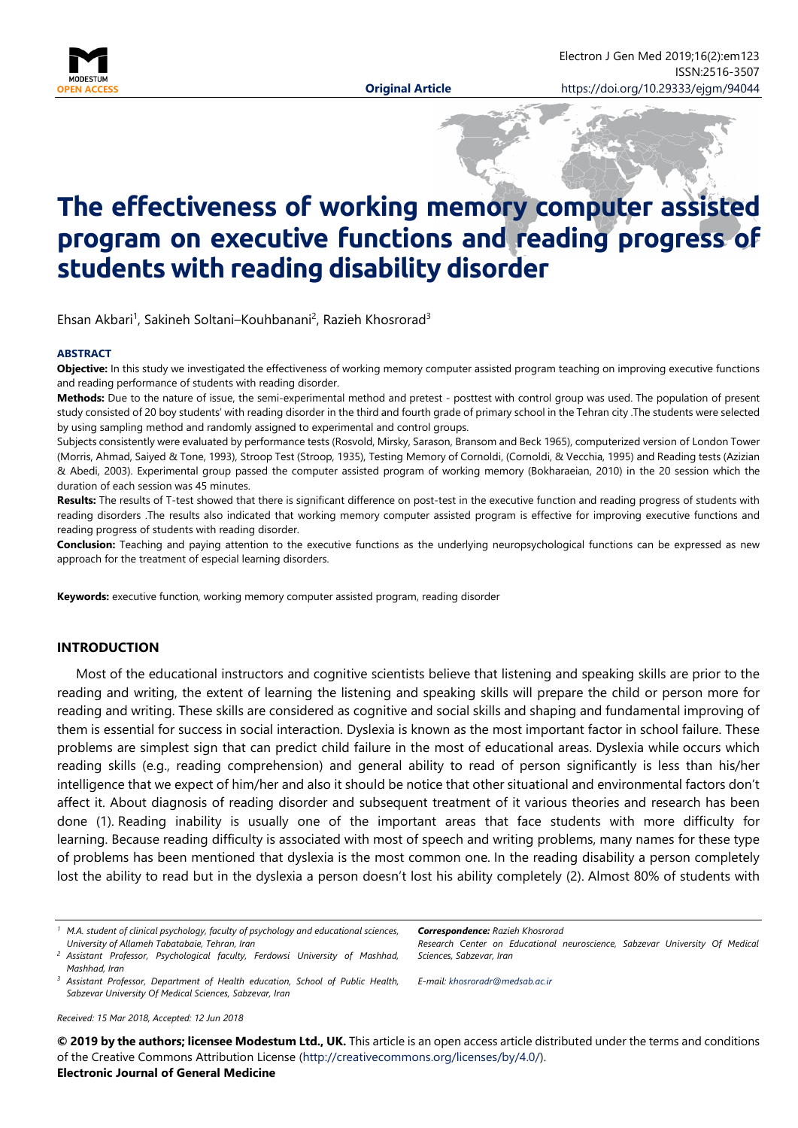

# **The effectiveness of working memory computer assisted program on executive functions and reading progress of students with reading disability disorder**

Ehsan Akbari<sup>1</sup>, Sakineh Soltani–Kouhbanani<sup>2</sup>, Razieh Khosrorad<sup>3</sup>

#### **ABSTRACT**

**Objective:** In this study we investigated the effectiveness of working memory computer assisted program teaching on improving executive functions and reading performance of students with reading disorder.

**Methods:** Due to the nature of issue, the semi-experimental method and pretest - posttest with control group was used. The population of present study consisted of 20 boy students' with reading disorder in the third and fourth grade of primary school in the Tehran city .The students were selected by using sampling method and randomly assigned to experimental and control groups.

Subjects consistently were evaluated by performance tests (Rosvold, Mirsky, Sarason, Bransom and Beck 1965), computerized version of London Tower (Morris, Ahmad, Saiyed & Tone, 1993), Stroop Test (Stroop, 1935), Testing Memory of Cornoldi, (Cornoldi, & Vecchia, 1995) and Reading tests (Azizian & Abedi, 2003). Experimental group passed the computer assisted program of working memory (Bokharaeian, 2010) in the 20 session which the duration of each session was 45 minutes.

**Results:** The results of T-test showed that there is significant difference on post-test in the executive function and reading progress of students with reading disorders .The results also indicated that working memory computer assisted program is effective for improving executive functions and reading progress of students with reading disorder.

**Conclusion:** Teaching and paying attention to the executive functions as the underlying neuropsychological functions can be expressed as new approach for the treatment of especial learning disorders.

**Keywords:** executive function, working memory computer assisted program, reading disorder

#### **INTRODUCTION**

Most of the educational instructors and cognitive scientists believe that listening and speaking skills are prior to the reading and writing, the extent of learning the listening and speaking skills will prepare the child or person more for reading and writing. These skills are considered as cognitive and social skills and shaping and fundamental improving of them is essential for success in social interaction. Dyslexia is known as the most important factor in school failure. These problems are simplest sign that can predict child failure in the most of educational areas. Dyslexia while occurs which reading skills (e.g., reading comprehension) and general ability to read of person significantly is less than his/her intelligence that we expect of him/her and also it should be notice that other situational and environmental factors don't affect it. About diagnosis of reading disorder and subsequent treatment of it various theories and research has been done (1). Reading inability is usually one of the important areas that face students with more difficulty for learning. Because reading difficulty is associated with most of speech and writing problems, many names for these type of problems has been mentioned that dyslexia is the most common one. In the reading disability a person completely lost the ability to read but in the dyslexia a person doesn't lost his ability completely (2). Almost 80% of students with

*Correspondence: Razieh Khosrorad*

*Research Center on Educational neuroscience, Sabzevar University Of Medical Sciences, Sabzevar, Iran*

*E-mail: [khosroradr@medsab.ac.ir](mailto:khosroradr@medsab.ac.ir)*

*Received: 15 Mar 2018, Accepted: 12 Jun 2018*

**© 2019 by the authors; licensee Modestum Ltd., UK.** This article is an open access article distributed under the terms and conditions of the Creative Commons Attribution License [\(http://creativecommons.org/licenses/by/4.0/\)](http://creativecommons.org/licenses/by/4.0/).

#### **Electronic Journal of General Medicine**

*<sup>1</sup> M.A. student of clinical psychology, faculty of psychology and educational sciences, University of Allameh Tabatabaie, Tehran, Iran*

*<sup>2</sup> Assistant Professor, Psychological faculty, Ferdowsi University of Mashhad, Mashhad, Iran*

*<sup>3</sup> Assistant Professor, Department of Health education, School of Public Health, Sabzevar University Of Medical Sciences, Sabzevar, Iran*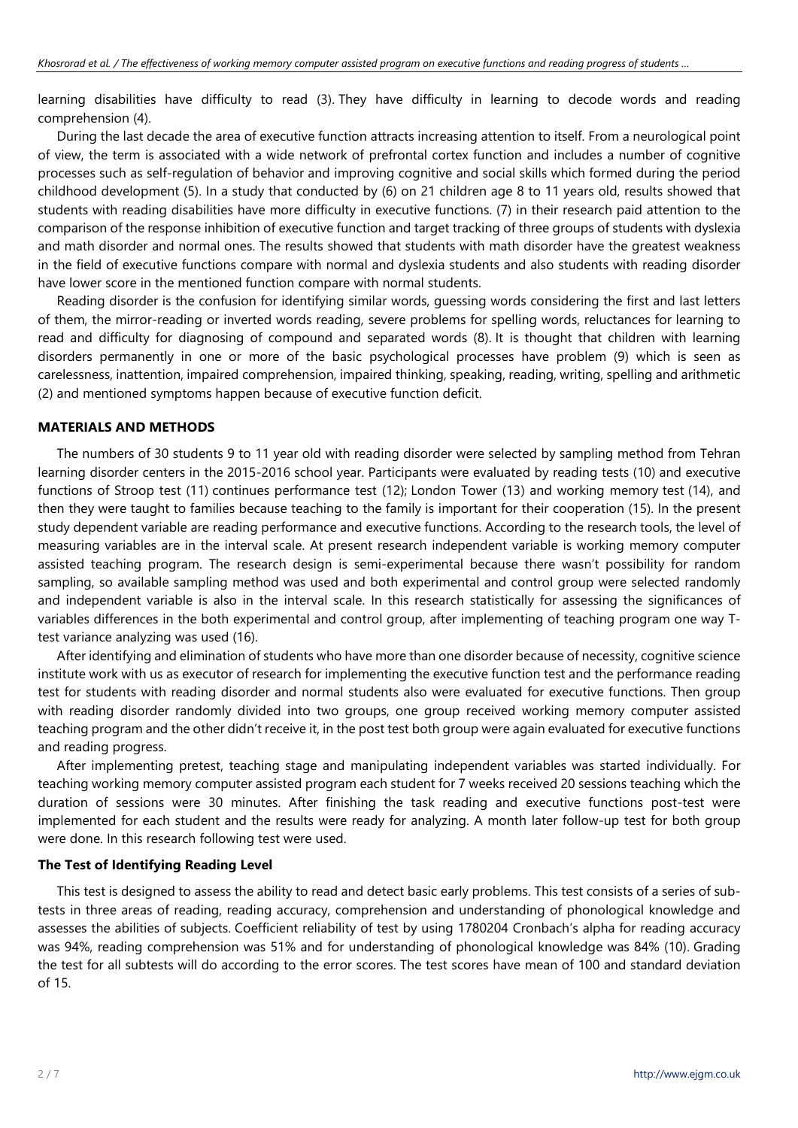learning disabilities have difficulty to read (3). They have difficulty in learning to decode words and reading comprehension (4).

During the last decade the area of executive function attracts increasing attention to itself. From a neurological point of view, the term is associated with a wide network of prefrontal cortex function and includes a number of cognitive processes such as self-regulation of behavior and improving cognitive and social skills which formed during the period childhood development (5). In a study that conducted by (6) on 21 children age 8 to 11 years old, results showed that students with reading disabilities have more difficulty in executive functions. (7) in their research paid attention to the comparison of the response inhibition of executive function and target tracking of three groups of students with dyslexia and math disorder and normal ones. The results showed that students with math disorder have the greatest weakness in the field of executive functions compare with normal and dyslexia students and also students with reading disorder have lower score in the mentioned function compare with normal students.

Reading disorder is the confusion for identifying similar words, guessing words considering the first and last letters of them, the mirror-reading or inverted words reading, severe problems for spelling words, reluctances for learning to read and difficulty for diagnosing of compound and separated words (8). It is thought that children with learning disorders permanently in one or more of the basic psychological processes have problem (9) which is seen as carelessness, inattention, impaired comprehension, impaired thinking, speaking, reading, writing, spelling and arithmetic (2) and mentioned symptoms happen because of executive function deficit.

## **MATERIALS AND METHODS**

The numbers of 30 students 9 to 11 year old with reading disorder were selected by sampling method from Tehran learning disorder centers in the 2015-2016 school year. Participants were evaluated by reading tests (10) and executive functions of Stroop test (11) continues performance test (12); London Tower (13) and working memory test (14), and then they were taught to families because teaching to the family is important for their cooperation (15). In the present study dependent variable are reading performance and executive functions. According to the research tools, the level of measuring variables are in the interval scale. At present research independent variable is working memory computer assisted teaching program. The research design is semi-experimental because there wasn't possibility for random sampling, so available sampling method was used and both experimental and control group were selected randomly and independent variable is also in the interval scale. In this research statistically for assessing the significances of variables differences in the both experimental and control group, after implementing of teaching program one way Ttest variance analyzing was used (16).

After identifying and elimination of students who have more than one disorder because of necessity, cognitive science institute work with us as executor of research for implementing the executive function test and the performance reading test for students with reading disorder and normal students also were evaluated for executive functions. Then group with reading disorder randomly divided into two groups, one group received working memory computer assisted teaching program and the other didn't receive it, in the post test both group were again evaluated for executive functions and reading progress.

After implementing pretest, teaching stage and manipulating independent variables was started individually. For teaching working memory computer assisted program each student for 7 weeks received 20 sessions teaching which the duration of sessions were 30 minutes. After finishing the task reading and executive functions post-test were implemented for each student and the results were ready for analyzing. A month later follow-up test for both group were done. In this research following test were used.

## **The Test of Identifying Reading Level**

This test is designed to assess the ability to read and detect basic early problems. This test consists of a series of subtests in three areas of reading, reading accuracy, comprehension and understanding of phonological knowledge and assesses the abilities of subjects. Coefficient reliability of test by using 1780204 Cronbach's alpha for reading accuracy was 94%, reading comprehension was 51% and for understanding of phonological knowledge was 84% (10). Grading the test for all subtests will do according to the error scores. The test scores have mean of 100 and standard deviation of 15.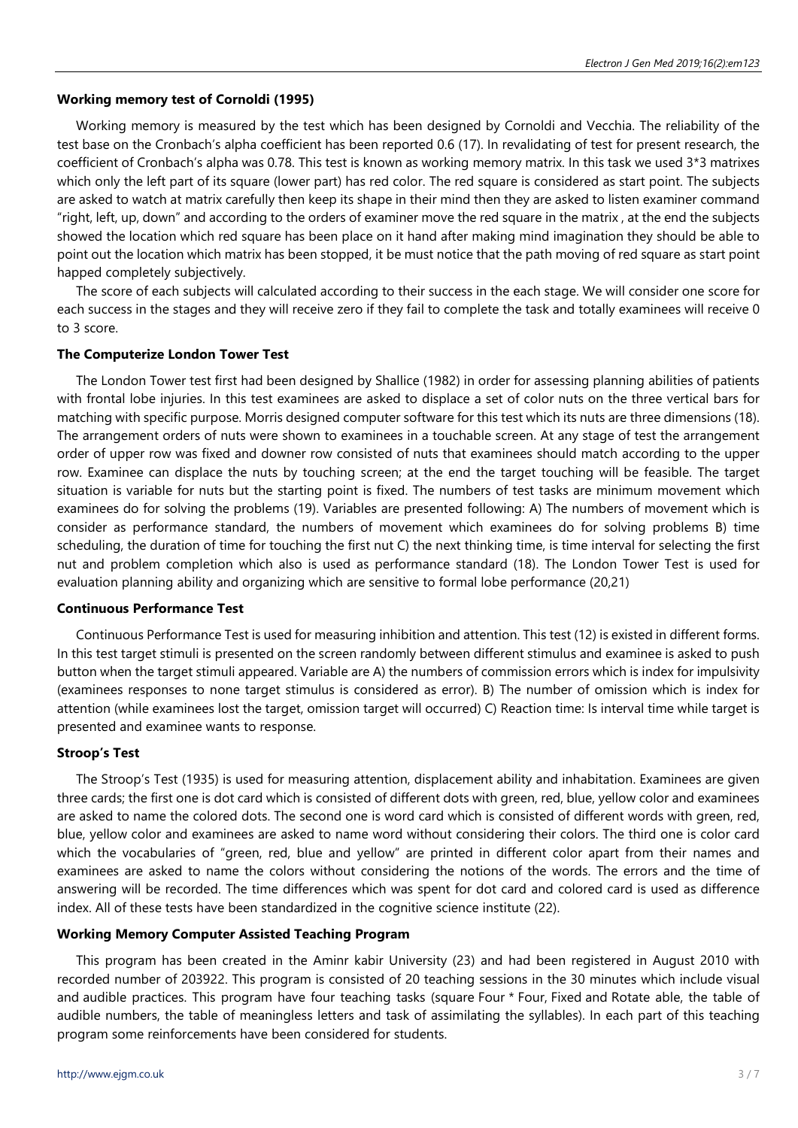## **Working memory test of Cornoldi (1995)**

Working memory is measured by the test which has been designed by Cornoldi and Vecchia. The reliability of the test base on the Cronbach's alpha coefficient has been reported 0.6 (17). In revalidating of test for present research, the coefficient of Cronbach's alpha was 0.78. This test is known as working memory matrix. In this task we used 3\*3 matrixes which only the left part of its square (lower part) has red color. The red square is considered as start point. The subjects are asked to watch at matrix carefully then keep its shape in their mind then they are asked to listen examiner command "right, left, up, down" and according to the orders of examiner move the red square in the matrix , at the end the subjects showed the location which red square has been place on it hand after making mind imagination they should be able to point out the location which matrix has been stopped, it be must notice that the path moving of red square as start point happed completely subjectively.

The score of each subjects will calculated according to their success in the each stage. We will consider one score for each success in the stages and they will receive zero if they fail to complete the task and totally examinees will receive 0 to 3 score.

## **The Computerize London Tower Test**

The London Tower test first had been designed by Shallice (1982) in order for assessing planning abilities of patients with frontal lobe injuries. In this test examinees are asked to displace a set of color nuts on the three vertical bars for matching with specific purpose. Morris designed computer software for this test which its nuts are three dimensions (18). The arrangement orders of nuts were shown to examinees in a touchable screen. At any stage of test the arrangement order of upper row was fixed and downer row consisted of nuts that examinees should match according to the upper row. Examinee can displace the nuts by touching screen; at the end the target touching will be feasible. The target situation is variable for nuts but the starting point is fixed. The numbers of test tasks are minimum movement which examinees do for solving the problems (19). Variables are presented following: A) The numbers of movement which is consider as performance standard, the numbers of movement which examinees do for solving problems B) time scheduling, the duration of time for touching the first nut C) the next thinking time, is time interval for selecting the first nut and problem completion which also is used as performance standard (18). The London Tower Test is used for evaluation planning ability and organizing which are sensitive to formal lobe performance (20,21)

## **Continuous Performance Test**

Continuous Performance Test is used for measuring inhibition and attention. This test (12) is existed in different forms. In this test target stimuli is presented on the screen randomly between different stimulus and examinee is asked to push button when the target stimuli appeared. Variable are A) the numbers of commission errors which is index for impulsivity (examinees responses to none target stimulus is considered as error). B) The number of omission which is index for attention (while examinees lost the target, omission target will occurred) C) Reaction time: Is interval time while target is presented and examinee wants to response.

## **Stroop's Test**

The Stroop's Test (1935) is used for measuring attention, displacement ability and inhabitation. Examinees are given three cards; the first one is dot card which is consisted of different dots with green, red, blue, yellow color and examinees are asked to name the colored dots. The second one is word card which is consisted of different words with green, red, blue, yellow color and examinees are asked to name word without considering their colors. The third one is color card which the vocabularies of "green, red, blue and yellow" are printed in different color apart from their names and examinees are asked to name the colors without considering the notions of the words. The errors and the time of answering will be recorded. The time differences which was spent for dot card and colored card is used as difference index. All of these tests have been standardized in the cognitive science institute (22).

## **Working Memory Computer Assisted Teaching Program**

This program has been created in the Aminr kabir University (23) and had been registered in August 2010 with recorded number of 203922. This program is consisted of 20 teaching sessions in the 30 minutes which include visual and audible practices. This program have four teaching tasks (square Four \* Four, Fixed and Rotate able, the table of audible numbers, the table of meaningless letters and task of assimilating the syllables). In each part of this teaching program some reinforcements have been considered for students.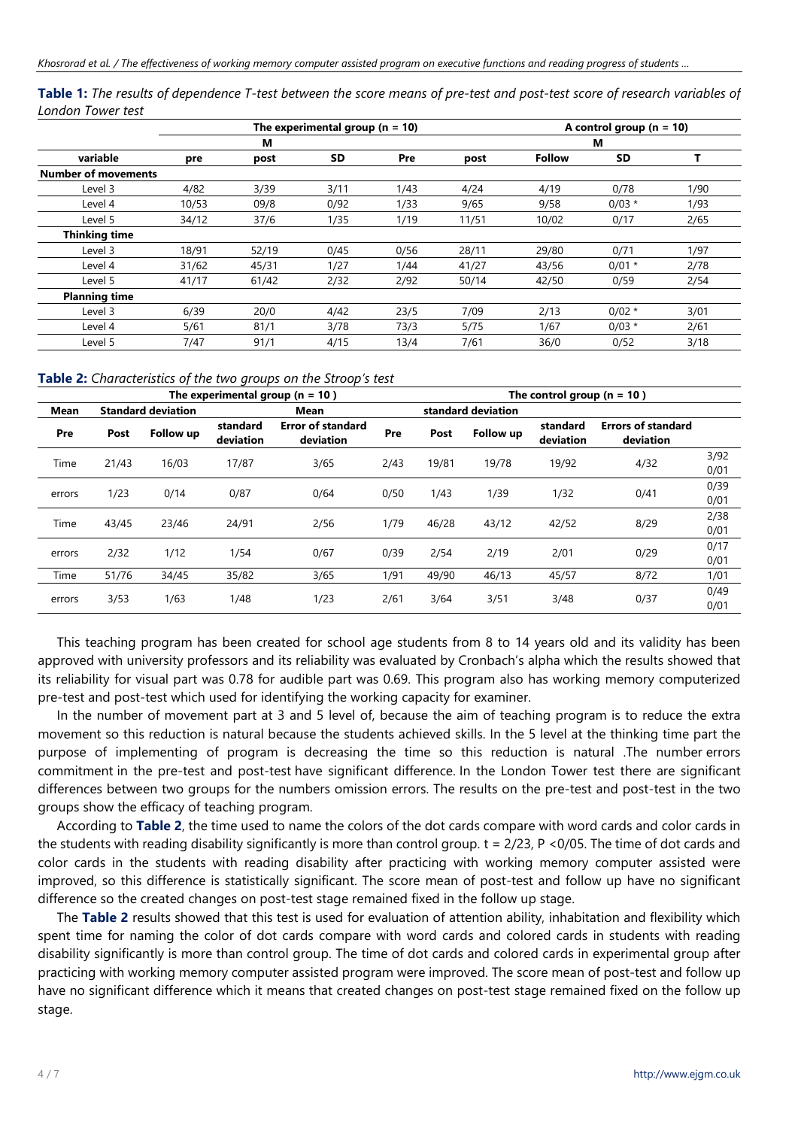|                            |       |       | The experimental group ( $n = 10$ ) |      |       | A control group ( $n = 10$ ) |          |      |  |  |
|----------------------------|-------|-------|-------------------------------------|------|-------|------------------------------|----------|------|--|--|
|                            |       | М     |                                     |      |       |                              | М        |      |  |  |
| variable                   | pre   | post  | SD                                  | Pre  | post  | <b>Follow</b>                | SD       |      |  |  |
| <b>Number of movements</b> |       |       |                                     |      |       |                              |          |      |  |  |
| Level 3                    | 4/82  | 3/39  | 3/11                                | 1/43 | 4/24  | 4/19                         | 0/78     | 1/90 |  |  |
| Level 4                    | 10/53 | 09/8  | 0/92                                | 1/33 | 9/65  | 9/58                         | $0/03$ * | 1/93 |  |  |
| Level 5                    | 34/12 | 37/6  | 1/35                                | 1/19 | 11/51 | 10/02                        | 0/17     | 2/65 |  |  |
| <b>Thinking time</b>       |       |       |                                     |      |       |                              |          |      |  |  |
| Level 3                    | 18/91 | 52/19 | 0/45                                | 0/56 | 28/11 | 29/80                        | 0/71     | 1/97 |  |  |
| Level 4                    | 31/62 | 45/31 | 1/27                                | 1/44 | 41/27 | 43/56                        | $0/01$ * | 2/78 |  |  |
| Level 5                    | 41/17 | 61/42 | 2/32                                | 2/92 | 50/14 | 42/50                        | 0/59     | 2/54 |  |  |
| <b>Planning time</b>       |       |       |                                     |      |       |                              |          |      |  |  |
| Level 3                    | 6/39  | 20/0  | 4/42                                | 23/5 | 7/09  | 2/13                         | $0/02$ * | 3/01 |  |  |
| Level 4                    | 5/61  | 81/1  | 3/78                                | 73/3 | 5/75  | 1/67                         | $0/03$ * | 2/61 |  |  |
| Level 5                    | 7/47  | 91/1  | 4/15                                | 13/4 | 7/61  | 36/0                         | 0/52     | 3/18 |  |  |

**Table 1:** *The results of dependence T-test between the score means of pre-test and post-test score of research variables of London Tower test*

**Table 2:** *Characteristics of the two groups on the Stroop's test*

|        |       |                           |                       | The experimental group $(n = 10)$     | The control group ( $n = 10$ ) |                    |           |                       |                                        |              |
|--------|-------|---------------------------|-----------------------|---------------------------------------|--------------------------------|--------------------|-----------|-----------------------|----------------------------------------|--------------|
| Mean   |       | <b>Standard deviation</b> | Mean                  |                                       |                                | standard deviation |           |                       |                                        |              |
| Pre    | Post  | <b>Follow up</b>          | standard<br>deviation | <b>Error of standard</b><br>deviation | Pre                            | Post               | Follow up | standard<br>deviation | <b>Errors of standard</b><br>deviation |              |
| Time   | 21/43 | 16/03                     | 17/87                 | 3/65                                  | 2/43                           | 19/81              | 19/78     | 19/92                 | 4/32                                   | 3/92<br>0/01 |
| errors | 1/23  | 0/14                      | 0/87                  | 0/64                                  | 0/50                           | 1/43               | 1/39      | 1/32                  | 0/41                                   | 0/39<br>0/01 |
| Time   | 43/45 | 23/46                     | 24/91                 | 2/56                                  | 1/79                           | 46/28              | 43/12     | 42/52                 | 8/29                                   | 2/38<br>0/01 |
| errors | 2/32  | 1/12                      | 1/54                  | 0/67                                  | 0/39                           | 2/54               | 2/19      | 2/01                  | 0/29                                   | 0/17<br>0/01 |
| Time   | 51/76 | 34/45                     | 35/82                 | 3/65                                  | 1/91                           | 49/90              | 46/13     | 45/57                 | 8/72                                   | 1/01         |
| errors | 3/53  | 1/63                      | 1/48                  | 1/23                                  | 2/61                           | 3/64               | 3/51      | 3/48                  | 0/37                                   | 0/49<br>0/01 |

This teaching program has been created for school age students from 8 to 14 years old and its validity has been approved with university professors and its reliability was evaluated by Cronbach's alpha which the results showed that its reliability for visual part was 0.78 for audible part was 0.69. This program also has working memory computerized pre-test and post-test which used for identifying the working capacity for examiner.

In the number of movement part at 3 and 5 level of, because the aim of teaching program is to reduce the extra movement so this reduction is natural because the students achieved skills. In the 5 level at the thinking time part the purpose of implementing of program is decreasing the time so this reduction is natural .The number errors commitment in the pre-test and post-test have significant difference. In the London Tower test there are significant differences between two groups for the numbers omission errors. The results on the pre-test and post-test in the two groups show the efficacy of teaching program.

According to **Table 2**, the time used to name the colors of the dot cards compare with word cards and color cards in the students with reading disability significantly is more than control group.  $t = 2/23$ , P <0/05. The time of dot cards and color cards in the students with reading disability after practicing with working memory computer assisted were improved, so this difference is statistically significant. The score mean of post-test and follow up have no significant difference so the created changes on post-test stage remained fixed in the follow up stage.

The **Table 2** results showed that this test is used for evaluation of attention ability, inhabitation and flexibility which spent time for naming the color of dot cards compare with word cards and colored cards in students with reading disability significantly is more than control group. The time of dot cards and colored cards in experimental group after practicing with working memory computer assisted program were improved. The score mean of post-test and follow up have no significant difference which it means that created changes on post-test stage remained fixed on the follow up stage.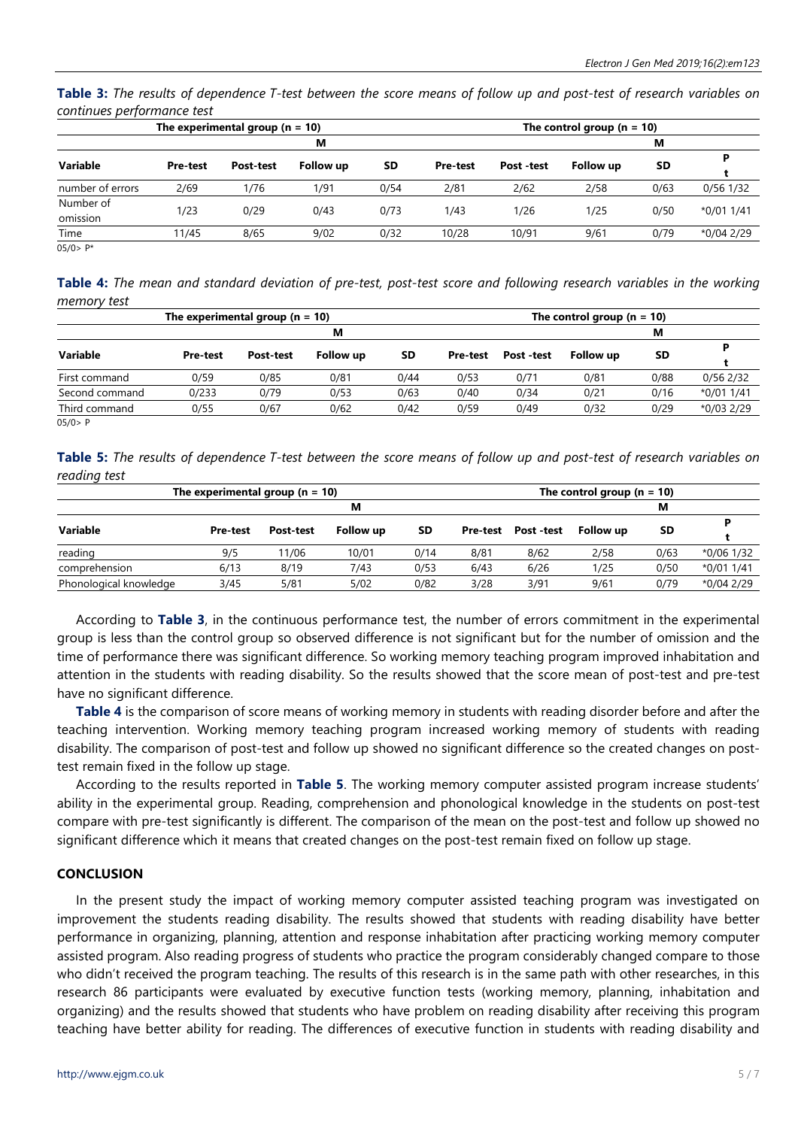**Table 3:** *The results of dependence T-test between the score means of follow up and post-test of research variables on continues performance test*

|                       |                 | The experimental group $(n = 10)$ |           |           | The control group ( $n = 10$ ) |            |           |      |            |  |
|-----------------------|-----------------|-----------------------------------|-----------|-----------|--------------------------------|------------|-----------|------|------------|--|
|                       |                 |                                   | М         |           |                                |            |           |      |            |  |
| Variable              | <b>Pre-test</b> | Post-test                         | Follow up | <b>SD</b> | <b>Pre-test</b>                | Post -test | Follow up | SD   |            |  |
| number of errors      | 2/69            | 1/76                              | 1/91      | 0/54      | 2/81                           | 2/62       | 2/58      | 0/63 | 0/56 1/32  |  |
| Number of<br>omission | 1/23            | 0/29                              | 0/43      | 0/73      | 1/43                           | 1/26       | 1/25      | 0/50 | *0/01 1/41 |  |
| Time                  | 11/45           | 8/65                              | 9/02      | 0/32      | 10/28                          | 10/91      | 9/61      | 0/79 | *0/04 2/29 |  |

 $05/0 > P^*$ 

**Table 4:** *The mean and standard deviation of pre-test, post-test score and following research variables in the working memory test*

|                | The experimental group $(n = 10)$ |           |                  | The control group ( $n = 10$ ) |                 |            |                  |      |             |
|----------------|-----------------------------------|-----------|------------------|--------------------------------|-----------------|------------|------------------|------|-------------|
|                |                                   |           | М                |                                |                 |            |                  | M    |             |
| Variable       | <b>Pre-test</b>                   | Post-test | <b>Follow up</b> | SD                             | <b>Pre-test</b> | Post -test | <b>Follow up</b> | SD   |             |
| First command  | 0/59                              | 0/85      | 0/81             | 0/44                           | 0/53            | 0/71       | 0/81             | 0/88 | 0/56 2/32   |
| Second command | 0/233                             | 0/79      | 0/53             | 0/63                           | 0/40            | 0/34       | 0/21             | 0/16 | $*0/011/41$ |
| Third command  | 0/55                              | 0/67      | 0/62             | 0/42                           | 0/59            | 0/49       | 0/32             | 0/29 | *0/03 2/29  |
| 05/0 > P       |                                   |           |                  |                                |                 |            |                  |      |             |

**Table 5:** *The results of dependence T-test between the score means of follow up and post-test of research variables on reading test*

| The experimental group ( $n = 10$ ) |                 |           |           |           |      | The control group ( $n = 10$ ) |                  |      |            |  |  |
|-------------------------------------|-----------------|-----------|-----------|-----------|------|--------------------------------|------------------|------|------------|--|--|
| м                                   |                 |           |           |           |      |                                |                  |      |            |  |  |
| Variable                            | <b>Pre-test</b> | Post-test | Follow up | <b>SD</b> |      | Pre-test Post-test             | <b>Follow up</b> | SD   |            |  |  |
|                                     |                 |           |           |           |      |                                |                  |      |            |  |  |
| reading                             | 9/5             | 11/06     | 10/01     | 0/14      | 8/81 | 8/62                           | 2/58             | 0/63 | *0/06 1/32 |  |  |
| comprehension                       | 6/13            | 8/19      | 7/43      | 0/53      | 6/43 | 6/26                           | 1/25             | 0/50 | *0/01 1/41 |  |  |
| Phonological knowledge              | 3/45            | 5/81      | 5/02      | 0/82      | 3/28 | 3/91                           | 9/61             | 0/79 | *0/04 2/29 |  |  |

According to **Table 3**, in the continuous performance test, the number of errors commitment in the experimental group is less than the control group so observed difference is not significant but for the number of omission and the time of performance there was significant difference. So working memory teaching program improved inhabitation and attention in the students with reading disability. So the results showed that the score mean of post-test and pre-test have no significant difference.

**Table 4** is the comparison of score means of working memory in students with reading disorder before and after the teaching intervention. Working memory teaching program increased working memory of students with reading disability. The comparison of post-test and follow up showed no significant difference so the created changes on posttest remain fixed in the follow up stage.

According to the results reported in **Table 5**. The working memory computer assisted program increase students' ability in the experimental group. Reading, comprehension and phonological knowledge in the students on post-test compare with pre-test significantly is different. The comparison of the mean on the post-test and follow up showed no significant difference which it means that created changes on the post-test remain fixed on follow up stage.

## **CONCLUSION**

In the present study the impact of working memory computer assisted teaching program was investigated on improvement the students reading disability. The results showed that students with reading disability have better performance in organizing, planning, attention and response inhabitation after practicing working memory computer assisted program. Also reading progress of students who practice the program considerably changed compare to those who didn't received the program teaching. The results of this research is in the same path with other researches, in this research 86 participants were evaluated by executive function tests (working memory, planning, inhabitation and organizing) and the results showed that students who have problem on reading disability after receiving this program teaching have better ability for reading. The differences of executive function in students with reading disability and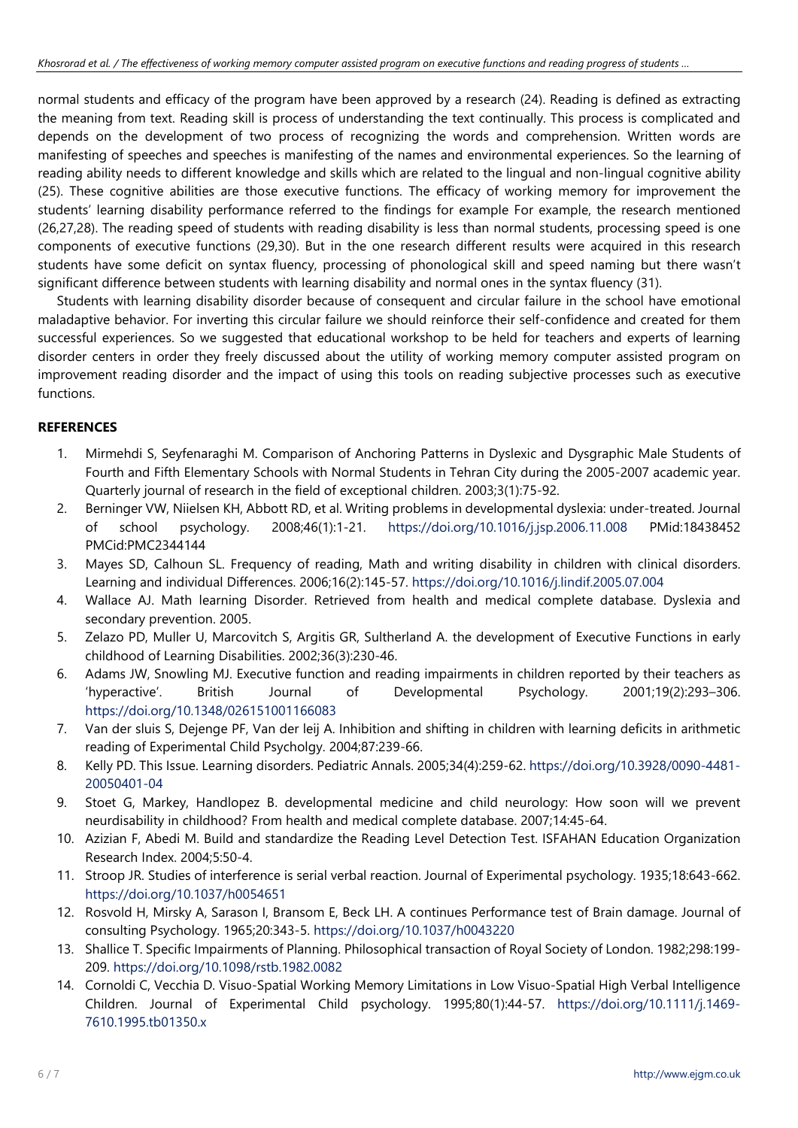normal students and efficacy of the program have been approved by a research (24). Reading is defined as extracting the meaning from text. Reading skill is process of understanding the text continually. This process is complicated and depends on the development of two process of recognizing the words and comprehension. Written words are manifesting of speeches and speeches is manifesting of the names and environmental experiences. So the learning of reading ability needs to different knowledge and skills which are related to the lingual and non-lingual cognitive ability (25). These cognitive abilities are those executive functions. The efficacy of working memory for improvement the students' learning disability performance referred to the findings for example For example, the research mentioned (26,27,28). The reading speed of students with reading disability is less than normal students, processing speed is one components of executive functions (29,30). But in the one research different results were acquired in this research students have some deficit on syntax fluency, processing of phonological skill and speed naming but there wasn't significant difference between students with learning disability and normal ones in the syntax fluency (31).

Students with learning disability disorder because of consequent and circular failure in the school have emotional maladaptive behavior. For inverting this circular failure we should reinforce their self-confidence and created for them successful experiences. So we suggested that educational workshop to be held for teachers and experts of learning disorder centers in order they freely discussed about the utility of working memory computer assisted program on improvement reading disorder and the impact of using this tools on reading subjective processes such as executive functions.

# **REFERENCES**

- 1. Mirmehdi S, Seyfenaraghi M. Comparison of Anchoring Patterns in Dyslexic and Dysgraphic Male Students of Fourth and Fifth Elementary Schools with Normal Students in Tehran City during the 2005-2007 academic year. Quarterly journal of research in the field of exceptional children. 2003;3(1):75-92.
- 2. Berninger VW, Niielsen KH, Abbott RD, et al. Writing problems in developmental dyslexia: under-treated. Journal of school psychology. 2008;46(1):1-21. <https://doi.org/10.1016/j.jsp.2006.11.008> PMid:18438452 PMCid:PMC2344144
- 3. Mayes SD, Calhoun SL. Frequency of reading, Math and writing disability in children with clinical disorders. Learning and individual Differences. 2006;16(2):145-57. <https://doi.org/10.1016/j.lindif.2005.07.004>
- 4. Wallace AJ. Math learning Disorder. Retrieved from health and medical complete database. Dyslexia and secondary prevention. 2005.
- 5. Zelazo PD, Muller U, Marcovitch S, Argitis GR, Sultherland A. the development of Executive Functions in early childhood of Learning Disabilities. 2002;36(3):230-46.
- 6. Adams JW, Snowling MJ. Executive function and reading impairments in children reported by their teachers as 'hyperactive'. British Journal of Developmental Psychology. 2001;19(2):293–306. <https://doi.org/10.1348/026151001166083>
- 7. Van der sluis S, Dejenge PF, Van der leij A. Inhibition and shifting in children with learning deficits in arithmetic reading of Experimental Child Psycholgy. 2004;87:239-66.
- 8. Kelly PD. This Issue. Learning disorders. Pediatric Annals. 2005;34(4):259-62. [https://doi.org/10.3928/0090-4481-](https://doi.org/10.3928/0090-4481-20050401-04) [20050401-04](https://doi.org/10.3928/0090-4481-20050401-04)
- 9. Stoet G, Markey, Handlopez B. developmental medicine and child neurology: How soon will we prevent neurdisability in childhood? From health and medical complete database. 2007;14:45-64.
- 10. Azizian F, Abedi M. Build and standardize the Reading Level Detection Test. ISFAHAN Education Organization Research Index. 2004;5:50-4.
- 11. Stroop JR. Studies of interference is serial verbal reaction. Journal of Experimental psychology. 1935;18:643-662. <https://doi.org/10.1037/h0054651>
- 12. Rosvold H, Mirsky A, Sarason I, Bransom E, Beck LH. A continues Performance test of Brain damage. Journal of consulting Psychology. 1965;20:343-5. <https://doi.org/10.1037/h0043220>
- 13. Shallice T. Specific Impairments of Planning. Philosophical transaction of Royal Society of London. 1982;298:199- 209. <https://doi.org/10.1098/rstb.1982.0082>
- 14. Cornoldi C, Vecchia D. Visuo-Spatial Working Memory Limitations in Low Visuo-Spatial High Verbal Intelligence Children. Journal of Experimental Child psychology. 1995;80(1):44-57. [https://doi.org/10.1111/j.1469-](https://doi.org/10.1111/j.1469-7610.1995.tb01350.x) [7610.1995.tb01350.x](https://doi.org/10.1111/j.1469-7610.1995.tb01350.x)